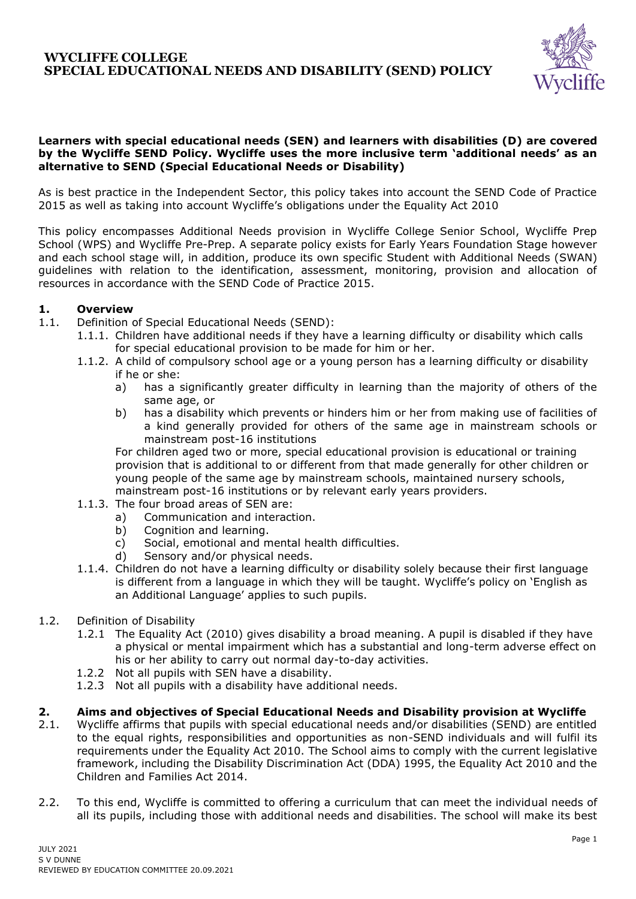

### **Learners with special educational needs (SEN) and learners with disabilities (D) are covered by the Wycliffe SEND Policy. Wycliffe uses the more inclusive term 'additional needs' as an alternative to SEND (Special Educational Needs or Disability)**

As is best practice in the Independent Sector, this policy takes into account the SEND Code of Practice 2015 as well as taking into account Wycliffe's obligations under the Equality Act 2010

This policy encompasses Additional Needs provision in Wycliffe College Senior School, Wycliffe Prep School (WPS) and Wycliffe Pre-Prep. A separate policy exists for Early Years Foundation Stage however and each school stage will, in addition, produce its own specific Student with Additional Needs (SWAN) guidelines with relation to the identification, assessment, monitoring, provision and allocation of resources in accordance with the SEND Code of Practice 2015.

# **1. Overview**

- 1.1. Definition of Special Educational Needs (SEND):
	- 1.1.1. Children have additional needs if they have a learning difficulty or disability which calls for special educational provision to be made for him or her.
	- 1.1.2. A child of compulsory school age or a young person has a learning difficulty or disability if he or she:
		- a) has a significantly greater difficulty in learning than the majority of others of the same age, or
		- b) has a disability which prevents or hinders him or her from making use of facilities of a kind generally provided for others of the same age in mainstream schools or mainstream post-16 institutions

For children aged two or more, special educational provision is educational or training provision that is additional to or different from that made generally for other children or young people of the same age by mainstream schools, maintained nursery schools, mainstream post-16 institutions or by relevant early years providers.

- 1.1.3. The four broad areas of SEN are:
	- a) Communication and interaction.
	- b) Cognition and learning.
	- c) Social, emotional and mental health difficulties.
	- d) Sensory and/or physical needs.
- 1.1.4. Children do not have a learning difficulty or disability solely because their first language is different from a language in which they will be taught. Wycliffe's policy on 'English as an Additional Language' applies to such pupils.
- 1.2. Definition of Disability
	- 1.2.1 The Equality Act (2010) gives disability a broad meaning. A pupil is disabled if they have a physical or mental impairment which has a substantial and long-term adverse effect on his or her ability to carry out normal day-to-day activities.
	- 1.2.2 Not all pupils with SEN have a disability.
	- 1.2.3 Not all pupils with a disability have additional needs.

### **2. Aims and objectives of Special Educational Needs and Disability provision at Wycliffe**

- 2.1. Wycliffe affirms that pupils with special educational needs and/or disabilities (SEND) are entitled to the equal rights, responsibilities and opportunities as non-SEND individuals and will fulfil its requirements under the Equality Act 2010. The School aims to comply with the current legislative framework, including the Disability Discrimination Act (DDA) 1995, the Equality Act 2010 and the Children and Families Act 2014.
- 2.2. To this end, Wycliffe is committed to offering a curriculum that can meet the individual needs of all its pupils, including those with additional needs and disabilities. The school will make its best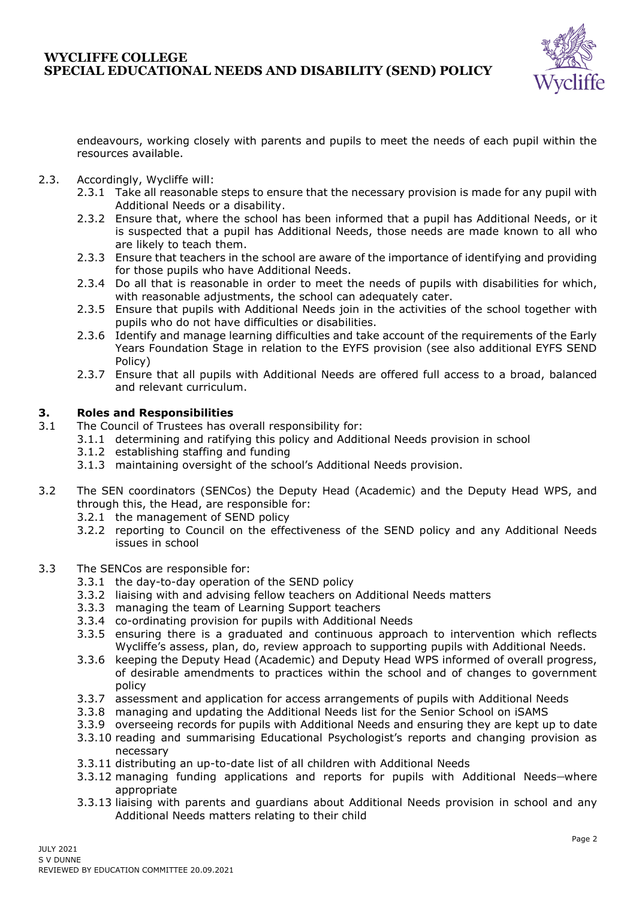

endeavours, working closely with parents and pupils to meet the needs of each pupil within the resources available.

- 2.3. Accordingly, Wycliffe will:
	- 2.3.1 Take all reasonable steps to ensure that the necessary provision is made for any pupil with Additional Needs or a disability.
	- 2.3.2 Ensure that, where the school has been informed that a pupil has Additional Needs, or it is suspected that a pupil has Additional Needs, those needs are made known to all who are likely to teach them.
	- 2.3.3 Ensure that teachers in the school are aware of the importance of identifying and providing for those pupils who have Additional Needs.
	- 2.3.4 Do all that is reasonable in order to meet the needs of pupils with disabilities for which, with reasonable adjustments, the school can adequately cater.
	- 2.3.5 Ensure that pupils with Additional Needs join in the activities of the school together with pupils who do not have difficulties or disabilities.
	- 2.3.6 Identify and manage learning difficulties and take account of the requirements of the Early Years Foundation Stage in relation to the EYFS provision (see also additional EYFS SEND Policy)
	- 2.3.7 Ensure that all pupils with Additional Needs are offered full access to a broad, balanced and relevant curriculum.

### **3. Roles and Responsibilities**

- 3.1 The Council of Trustees has overall responsibility for:
	- 3.1.1 determining and ratifying this policy and Additional Needs provision in school
		- 3.1.2 establishing staffing and funding
		- 3.1.3 maintaining oversight of the school's Additional Needs provision.
- 3.2 The SEN coordinators (SENCos) the Deputy Head (Academic) and the Deputy Head WPS, and through this, the Head, are responsible for:
	- 3.2.1 the management of SEND policy
	- 3.2.2 reporting to Council on the effectiveness of the SEND policy and any Additional Needs issues in school
- 3.3 The SENCos are responsible for:
	- 3.3.1 the day-to-day operation of the SEND policy
	- 3.3.2 liaising with and advising fellow teachers on Additional Needs matters
	- 3.3.3 managing the team of Learning Support teachers
	- 3.3.4 co-ordinating provision for pupils with Additional Needs
	- 3.3.5 ensuring there is a graduated and continuous approach to intervention which reflects Wycliffe's assess, plan, do, review approach to supporting pupils with Additional Needs.
	- 3.3.6 keeping the Deputy Head (Academic) and Deputy Head WPS informed of overall progress, of desirable amendments to practices within the school and of changes to government policy
	- 3.3.7 assessment and application for access arrangements of pupils with Additional Needs
	- 3.3.8 managing and updating the Additional Needs list for the Senior School on iSAMS
	- 3.3.9 overseeing records for pupils with Additional Needs and ensuring they are kept up to date
	- 3.3.10 reading and summarising Educational Psychologist's reports and changing provision as necessary
	- 3.3.11 distributing an up-to-date list of all children with Additional Needs
	- 3.3.12 managing funding applications and reports for pupils with Additional Needs-where appropriate
	- 3.3.13 liaising with parents and guardians about Additional Needs provision in school and any Additional Needs matters relating to their child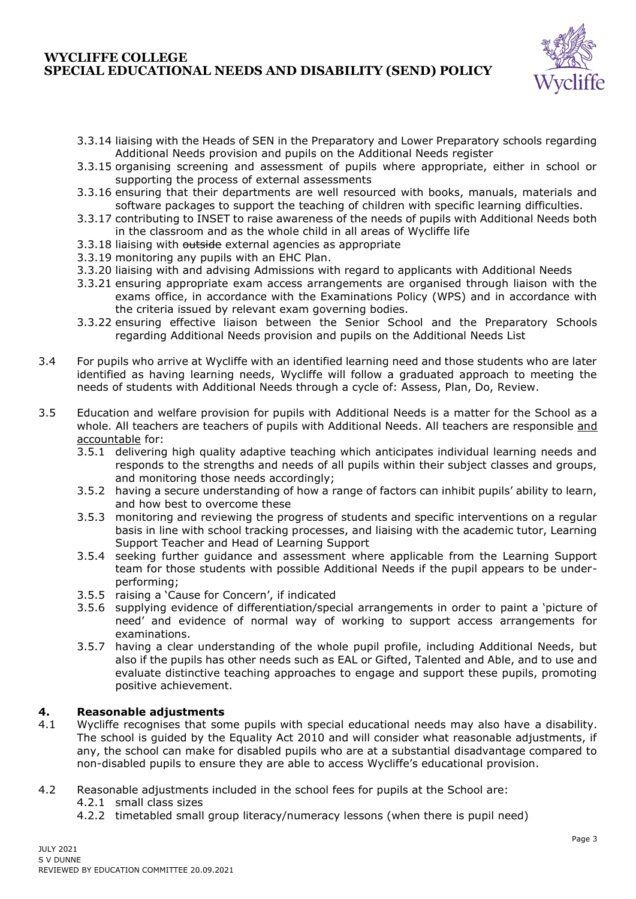

- 3.3.14 liaising with the Heads of SEN in the Preparatory and Lower Preparatory schools regarding Additional Needs provision and pupils on the Additional Needs register
- 3.3.15 organising screening and assessment of pupils where appropriate, either in school or supporting the process of external assessments
- 3.3.16 ensuring that their departments are well resourced with books, manuals, materials and software packages to support the teaching of children with specific learning difficulties.
- 3.3.17 contributing to INSET to raise awareness of the needs of pupils with Additional Needs both in the classroom and as the whole child in all areas of Wycliffe life
- 3.3.18 liaising with outside external agencies as appropriate
- 3.3.19 monitoring any pupils with an EHC Plan.
- 3.3.20 liaising with and advising Admissions with regard to applicants with Additional Needs
- 3.3.21 ensuring appropriate exam access arrangements are organised through liaison with the exams office, in accordance with the Examinations Policy (WPS) and in accordance with the criteria issued by relevant exam governing bodies.
- 3.3.22 ensuring effective liaison between the Senior School and the Preparatory Schools regarding Additional Needs provision and pupils on the Additional Needs List
- 3.4 For pupils who arrive at Wycliffe with an identified learning need and those students who are later identified as having learning needs, Wycliffe will follow a graduated approach to meeting the needs of students with Additional Needs through a cycle of: Assess, Plan, Do, Review.
- 3.5 Education and welfare provision for pupils with Additional Needs is a matter for the School as a whole. All teachers are teachers of pupils with Additional Needs. All teachers are responsible and accountable for:
	- 3.5.1 delivering high quality adaptive teaching which anticipates individual learning needs and responds to the strengths and needs of all pupils within their subject classes and groups, and monitoring those needs accordingly;
	- 3.5.2 having a secure understanding of how a range of factors can inhibit pupils' ability to learn, and how best to overcome these
	- 3.5.3 monitoring and reviewing the progress of students and specific interventions on a regular basis in line with school tracking processes, and liaising with the academic tutor, Learning Support Teacher and Head of Learning Support
	- 3.5.4 seeking further guidance and assessment where applicable from the Learning Support team for those students with possible Additional Needs if the pupil appears to be underperforming;
	- 3.5.5 raising a 'Cause for Concern', if indicated
	- 3.5.6 supplying evidence of differentiation/special arrangements in order to paint a 'picture of need' and evidence of normal way of working to support access arrangements for examinations.
	- 3.5.7 having a clear understanding of the whole pupil profile, including Additional Needs, but also if the pupils has other needs such as EAL or Gifted, Talented and Able, and to use and evaluate distinctive teaching approaches to engage and support these pupils, promoting positive achievement.

# **4. Reasonable adjustments**

4.1 Wycliffe recognises that some pupils with special educational needs may also have a disability. The school is guided by the Equality Act 2010 and will consider what reasonable adjustments, if any, the school can make for disabled pupils who are at a substantial disadvantage compared to non-disabled pupils to ensure they are able to access Wycliffe's educational provision.

### 4.2 Reasonable adjustments included in the school fees for pupils at the School are:

- 4.2.1 small class sizes
- 4.2.2 timetabled small group literacy/numeracy lessons (when there is pupil need)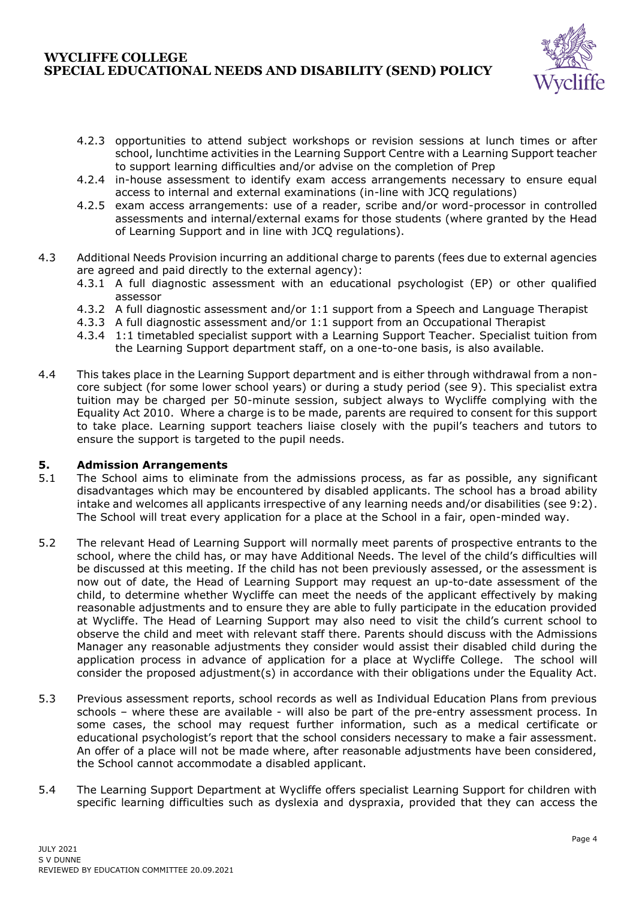

- 4.2.3 opportunities to attend subject workshops or revision sessions at lunch times or after school, lunchtime activities in the Learning Support Centre with a Learning Support teacher to support learning difficulties and/or advise on the completion of Prep
- 4.2.4 in-house assessment to identify exam access arrangements necessary to ensure equal access to internal and external examinations (in-line with JCQ regulations)
- 4.2.5 exam access arrangements: use of a reader, scribe and/or word-processor in controlled assessments and internal/external exams for those students (where granted by the Head of Learning Support and in line with JCQ regulations).
- 4.3 Additional Needs Provision incurring an additional charge to parents (fees due to external agencies are agreed and paid directly to the external agency):
	- 4.3.1 A full diagnostic assessment with an educational psychologist (EP) or other qualified assessor
	- 4.3.2 A full diagnostic assessment and/or 1:1 support from a Speech and Language Therapist
	- 4.3.3 A full diagnostic assessment and/or 1:1 support from an Occupational Therapist
	- 4.3.4 1:1 timetabled specialist support with a Learning Support Teacher. Specialist tuition from the Learning Support department staff, on a one-to-one basis, is also available.
- 4.4 This takes place in the Learning Support department and is either through withdrawal from a noncore subject (for some lower school years) or during a study period (see 9). This specialist extra tuition may be charged per 50-minute session, subject always to Wycliffe complying with the Equality Act 2010. Where a charge is to be made, parents are required to consent for this support to take place. Learning support teachers liaise closely with the pupil's teachers and tutors to ensure the support is targeted to the pupil needs.

# **5. Admission Arrangements**

- 5.1 The School aims to eliminate from the admissions process, as far as possible, any significant disadvantages which may be encountered by disabled applicants. The school has a broad ability intake and welcomes all applicants irrespective of any learning needs and/or disabilities (see 9:2). The School will treat every application for a place at the School in a fair, open-minded way.
- 5.2 The relevant Head of Learning Support will normally meet parents of prospective entrants to the school, where the child has, or may have Additional Needs. The level of the child's difficulties will be discussed at this meeting. If the child has not been previously assessed, or the assessment is now out of date, the Head of Learning Support may request an up-to-date assessment of the child, to determine whether Wycliffe can meet the needs of the applicant effectively by making reasonable adjustments and to ensure they are able to fully participate in the education provided at Wycliffe. The Head of Learning Support may also need to visit the child's current school to observe the child and meet with relevant staff there. Parents should discuss with the Admissions Manager any reasonable adjustments they consider would assist their disabled child during the application process in advance of application for a place at Wycliffe College. The school will consider the proposed adjustment(s) in accordance with their obligations under the Equality Act.
- 5.3 Previous assessment reports, school records as well as Individual Education Plans from previous schools – where these are available - will also be part of the pre-entry assessment process. In some cases, the school may request further information, such as a medical certificate or educational psychologist's report that the school considers necessary to make a fair assessment. An offer of a place will not be made where, after reasonable adjustments have been considered, the School cannot accommodate a disabled applicant.
- 5.4 The Learning Support Department at Wycliffe offers specialist Learning Support for children with specific learning difficulties such as dyslexia and dyspraxia, provided that they can access the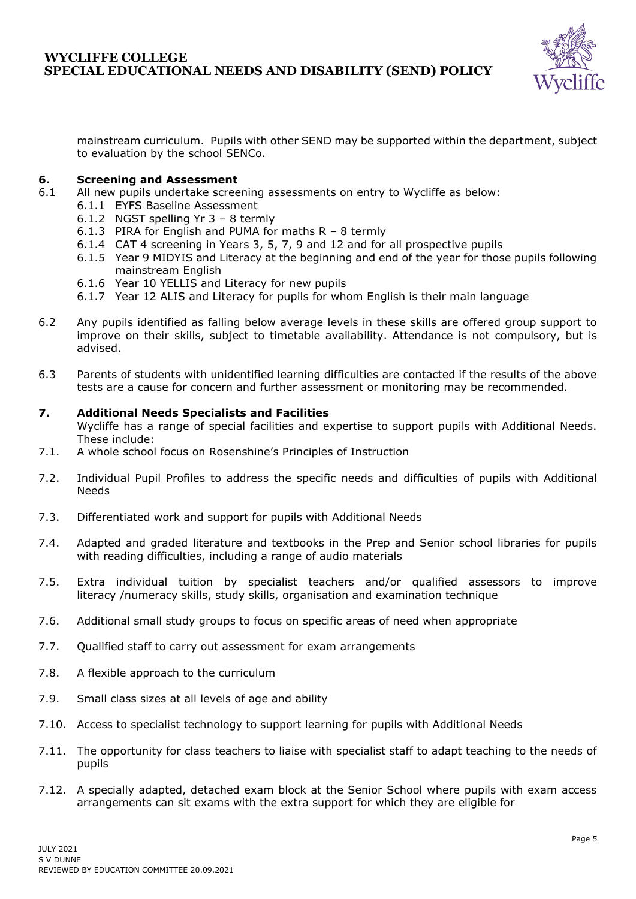

mainstream curriculum. Pupils with other SEND may be supported within the department, subject to evaluation by the school SENCo.

### **6. Screening and Assessment**

- 6.1 All new pupils undertake screening assessments on entry to Wycliffe as below:
	- 6.1.1 EYFS Baseline Assessment
	- 6.1.2 NGST spelling Yr 3 8 termly
	- 6.1.3 PIRA for English and PUMA for maths R 8 termly
	- 6.1.4 CAT 4 screening in Years 3, 5, 7, 9 and 12 and for all prospective pupils
	- 6.1.5 Year 9 MIDYIS and Literacy at the beginning and end of the year for those pupils following mainstream English
	- 6.1.6 Year 10 YELLIS and Literacy for new pupils
	- 6.1.7 Year 12 ALIS and Literacy for pupils for whom English is their main language
- 6.2 Any pupils identified as falling below average levels in these skills are offered group support to improve on their skills, subject to timetable availability. Attendance is not compulsory, but is advised.
- 6.3 Parents of students with unidentified learning difficulties are contacted if the results of the above tests are a cause for concern and further assessment or monitoring may be recommended.

### **7. Additional Needs Specialists and Facilities**

Wycliffe has a range of special facilities and expertise to support pupils with Additional Needs. These include:

- 7.1. A whole school focus on Rosenshine's Principles of Instruction
- 7.2. Individual Pupil Profiles to address the specific needs and difficulties of pupils with Additional Needs
- 7.3. Differentiated work and support for pupils with Additional Needs
- 7.4. Adapted and graded literature and textbooks in the Prep and Senior school libraries for pupils with reading difficulties, including a range of audio materials
- 7.5. Extra individual tuition by specialist teachers and/or qualified assessors to improve literacy /numeracy skills, study skills, organisation and examination technique
- 7.6. Additional small study groups to focus on specific areas of need when appropriate
- 7.7. Qualified staff to carry out assessment for exam arrangements
- 7.8. A flexible approach to the curriculum
- 7.9. Small class sizes at all levels of age and ability
- 7.10. Access to specialist technology to support learning for pupils with Additional Needs
- 7.11. The opportunity for class teachers to liaise with specialist staff to adapt teaching to the needs of pupils
- 7.12. A specially adapted, detached exam block at the Senior School where pupils with exam access arrangements can sit exams with the extra support for which they are eligible for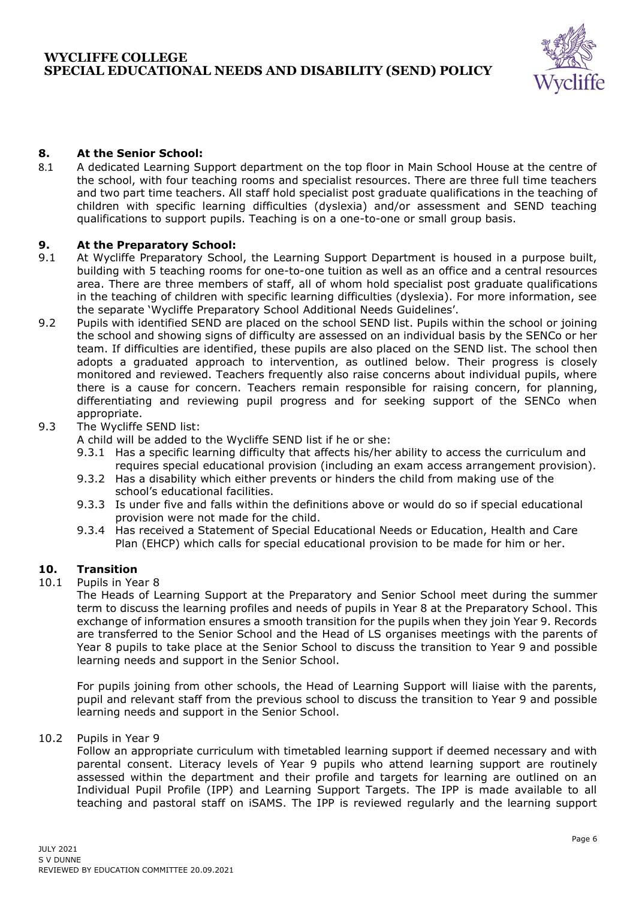

# **8. At the Senior School:**

8.1 A dedicated Learning Support department on the top floor in Main School House at the centre of the school, with four teaching rooms and specialist resources. There are three full time teachers and two part time teachers. All staff hold specialist post graduate qualifications in the teaching of children with specific learning difficulties (dyslexia) and/or assessment and SEND teaching qualifications to support pupils. Teaching is on a one-to-one or small group basis.

# **9. At the Preparatory School:**

- 9.1 At Wycliffe Preparatory School, the Learning Support Department is housed in a purpose built, building with 5 teaching rooms for one-to-one tuition as well as an office and a central resources area. There are three members of staff, all of whom hold specialist post graduate qualifications in the teaching of children with specific learning difficulties (dyslexia). For more information, see the separate 'Wycliffe Preparatory School Additional Needs Guidelines'.
- 9.2 Pupils with identified SEND are placed on the school SEND list. Pupils within the school or joining the school and showing signs of difficulty are assessed on an individual basis by the SENCo or her team. If difficulties are identified, these pupils are also placed on the SEND list. The school then adopts a graduated approach to intervention, as outlined below. Their progress is closely monitored and reviewed. Teachers frequently also raise concerns about individual pupils, where there is a cause for concern. Teachers remain responsible for raising concern, for planning, differentiating and reviewing pupil progress and for seeking support of the SENCo when appropriate.

### 9.3 The Wycliffe SEND list:

A child will be added to the Wycliffe SEND list if he or she:

- 9.3.1 Has a specific learning difficulty that affects his/her ability to access the curriculum and requires special educational provision (including an exam access arrangement provision).
- 9.3.2 Has a disability which either prevents or hinders the child from making use of the school's educational facilities.
- 9.3.3 Is under five and falls within the definitions above or would do so if special educational provision were not made for the child.
- 9.3.4 Has received a Statement of Special Educational Needs or Education, Health and Care Plan (EHCP) which calls for special educational provision to be made for him or her.

# **10. Transition**

10.1 Pupils in Year 8

The Heads of Learning Support at the Preparatory and Senior School meet during the summer term to discuss the learning profiles and needs of pupils in Year 8 at the Preparatory School. This exchange of information ensures a smooth transition for the pupils when they join Year 9. Records are transferred to the Senior School and the Head of LS organises meetings with the parents of Year 8 pupils to take place at the Senior School to discuss the transition to Year 9 and possible learning needs and support in the Senior School.

For pupils joining from other schools, the Head of Learning Support will liaise with the parents, pupil and relevant staff from the previous school to discuss the transition to Year 9 and possible learning needs and support in the Senior School.

### 10.2 Pupils in Year 9

Follow an appropriate curriculum with timetabled learning support if deemed necessary and with parental consent. Literacy levels of Year 9 pupils who attend learning support are routinely assessed within the department and their profile and targets for learning are outlined on an Individual Pupil Profile (IPP) and Learning Support Targets. The IPP is made available to all teaching and pastoral staff on iSAMS. The IPP is reviewed regularly and the learning support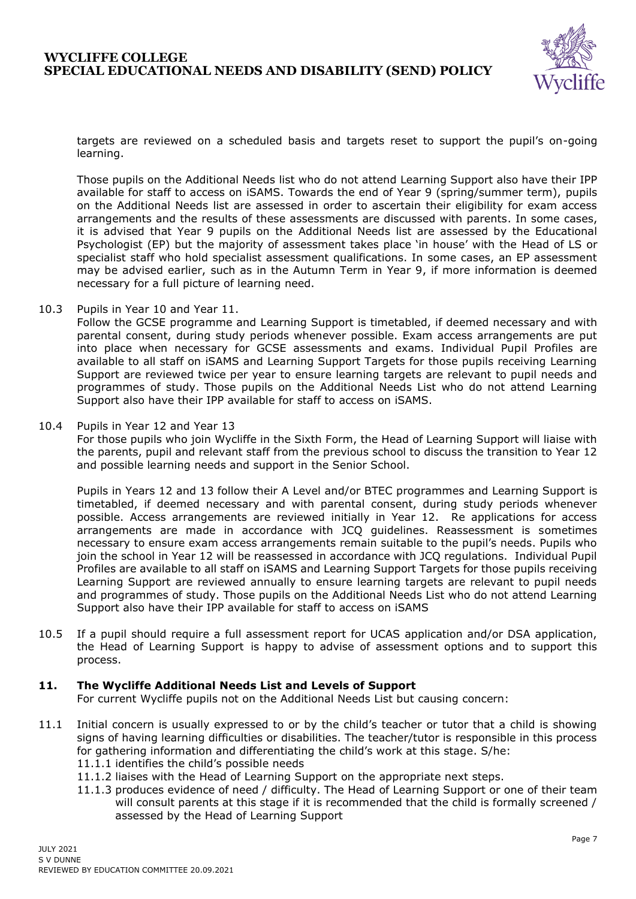

targets are reviewed on a scheduled basis and targets reset to support the pupil's on-going learning.

Those pupils on the Additional Needs list who do not attend Learning Support also have their IPP available for staff to access on iSAMS. Towards the end of Year 9 (spring/summer term), pupils on the Additional Needs list are assessed in order to ascertain their eligibility for exam access arrangements and the results of these assessments are discussed with parents. In some cases, it is advised that Year 9 pupils on the Additional Needs list are assessed by the Educational Psychologist (EP) but the majority of assessment takes place 'in house' with the Head of LS or specialist staff who hold specialist assessment qualifications. In some cases, an EP assessment may be advised earlier, such as in the Autumn Term in Year 9, if more information is deemed necessary for a full picture of learning need.

10.3 Pupils in Year 10 and Year 11.

Follow the GCSE programme and Learning Support is timetabled, if deemed necessary and with parental consent, during study periods whenever possible. Exam access arrangements are put into place when necessary for GCSE assessments and exams. Individual Pupil Profiles are available to all staff on iSAMS and Learning Support Targets for those pupils receiving Learning Support are reviewed twice per year to ensure learning targets are relevant to pupil needs and programmes of study. Those pupils on the Additional Needs List who do not attend Learning Support also have their IPP available for staff to access on iSAMS.

10.4 Pupils in Year 12 and Year 13

For those pupils who join Wycliffe in the Sixth Form, the Head of Learning Support will liaise with the parents, pupil and relevant staff from the previous school to discuss the transition to Year 12 and possible learning needs and support in the Senior School.

Pupils in Years 12 and 13 follow their A Level and/or BTEC programmes and Learning Support is timetabled, if deemed necessary and with parental consent, during study periods whenever possible. Access arrangements are reviewed initially in Year 12. Re applications for access arrangements are made in accordance with JCQ guidelines. Reassessment is sometimes necessary to ensure exam access arrangements remain suitable to the pupil's needs. Pupils who join the school in Year 12 will be reassessed in accordance with JCQ regulations. Individual Pupil Profiles are available to all staff on iSAMS and Learning Support Targets for those pupils receiving Learning Support are reviewed annually to ensure learning targets are relevant to pupil needs and programmes of study. Those pupils on the Additional Needs List who do not attend Learning Support also have their IPP available for staff to access on iSAMS

10.5 If a pupil should require a full assessment report for UCAS application and/or DSA application, the Head of Learning Support is happy to advise of assessment options and to support this process.

### **11. The Wycliffe Additional Needs List and Levels of Support**

For current Wycliffe pupils not on the Additional Needs List but causing concern:

- 11.1 Initial concern is usually expressed to or by the child's teacher or tutor that a child is showing signs of having learning difficulties or disabilities. The teacher/tutor is responsible in this process for gathering information and differentiating the child's work at this stage. S/he: 11.1.1 identifies the child's possible needs
	- 11.1.2 liaises with the Head of Learning Support on the appropriate next steps.
	- 11.1.3 produces evidence of need / difficulty. The Head of Learning Support or one of their team will consult parents at this stage if it is recommended that the child is formally screened / assessed by the Head of Learning Support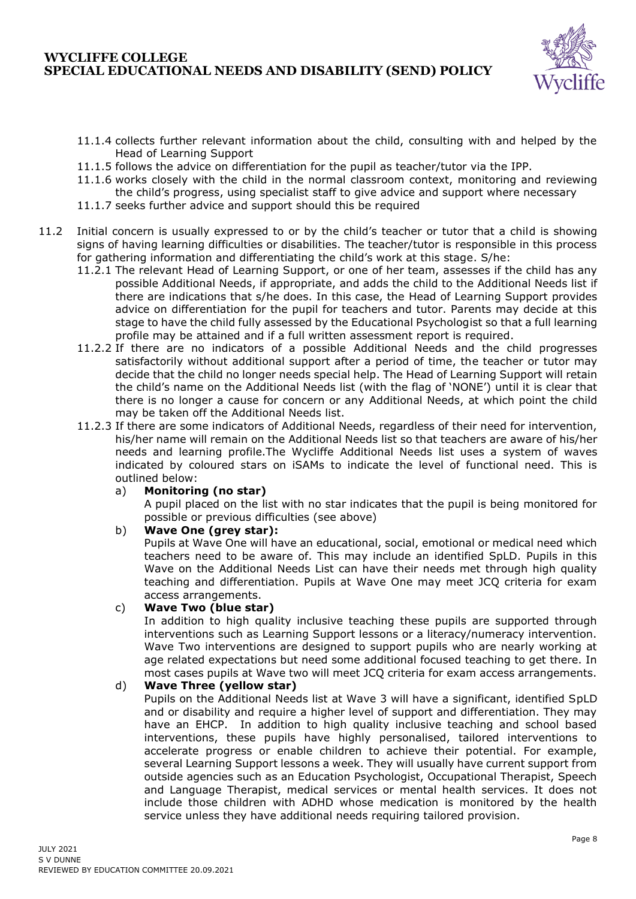

- 11.1.4 collects further relevant information about the child, consulting with and helped by the Head of Learning Support
- 11.1.5 follows the advice on differentiation for the pupil as teacher/tutor via the IPP.
- 11.1.6 works closely with the child in the normal classroom context, monitoring and reviewing the child's progress, using specialist staff to give advice and support where necessary
- 11.1.7 seeks further advice and support should this be required
- 11.2 Initial concern is usually expressed to or by the child's teacher or tutor that a child is showing signs of having learning difficulties or disabilities. The teacher/tutor is responsible in this process for gathering information and differentiating the child's work at this stage. S/he:
	- 11.2.1 The relevant Head of Learning Support, or one of her team, assesses if the child has any possible Additional Needs, if appropriate, and adds the child to the Additional Needs list if there are indications that s/he does. In this case, the Head of Learning Support provides advice on differentiation for the pupil for teachers and tutor. Parents may decide at this stage to have the child fully assessed by the Educational Psychologist so that a full learning profile may be attained and if a full written assessment report is required.
	- 11.2.2 If there are no indicators of a possible Additional Needs and the child progresses satisfactorily without additional support after a period of time, the teacher or tutor may decide that the child no longer needs special help. The Head of Learning Support will retain the child's name on the Additional Needs list (with the flag of 'NONE') until it is clear that there is no longer a cause for concern or any Additional Needs, at which point the child may be taken off the Additional Needs list.
	- 11.2.3 If there are some indicators of Additional Needs, regardless of their need for intervention, his/her name will remain on the Additional Needs list so that teachers are aware of his/her needs and learning profile.The Wycliffe Additional Needs list uses a system of waves indicated by coloured stars on iSAMs to indicate the level of functional need. This is outlined below:
		- a) **Monitoring (no star)**

A pupil placed on the list with no star indicates that the pupil is being monitored for possible or previous difficulties (see above)

b) **Wave One (grey star):**

Pupils at Wave One will have an educational, social, emotional or medical need which teachers need to be aware of. This may include an identified SpLD. Pupils in this Wave on the Additional Needs List can have their needs met through high quality teaching and differentiation. Pupils at Wave One may meet JCQ criteria for exam access arrangements.

### c) **Wave Two (blue star)**

In addition to high quality inclusive teaching these pupils are supported through interventions such as Learning Support lessons or a literacy/numeracy intervention. Wave Two interventions are designed to support pupils who are nearly working at age related expectations but need some additional focused teaching to get there. In most cases pupils at Wave two will meet JCQ criteria for exam access arrangements.

### d) **Wave Three (yellow star)**

Pupils on the Additional Needs list at Wave 3 will have a significant, identified SpLD and or disability and require a higher level of support and differentiation. They may have an EHCP. In addition to high quality inclusive teaching and school based interventions, these pupils have highly personalised, tailored interventions to accelerate progress or enable children to achieve their potential. For example, several Learning Support lessons a week. They will usually have current support from outside agencies such as an Education Psychologist, Occupational Therapist, Speech and Language Therapist, medical services or mental health services. It does not include those children with ADHD whose medication is monitored by the health service unless they have additional needs requiring tailored provision.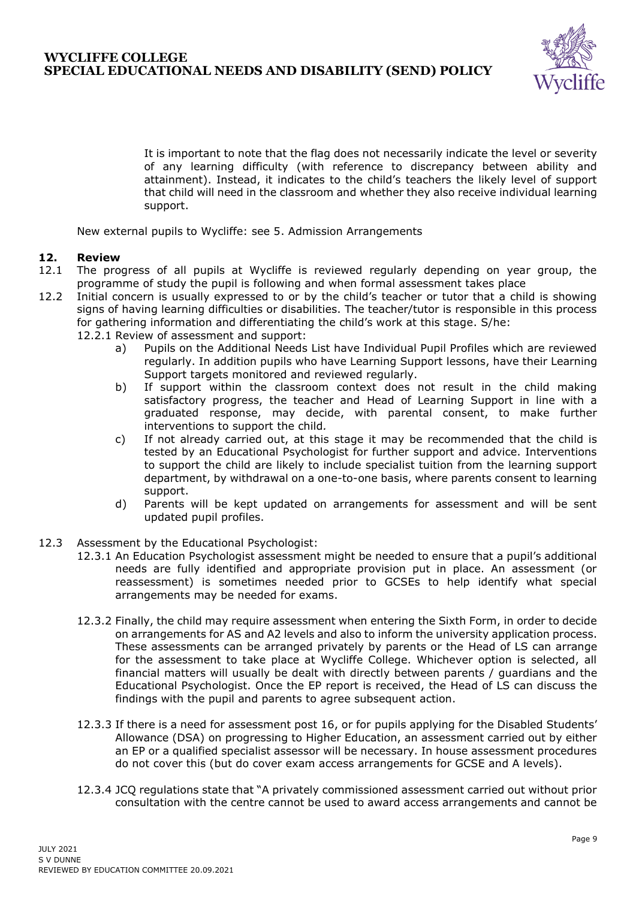

It is important to note that the flag does not necessarily indicate the level or severity of any learning difficulty (with reference to discrepancy between ability and attainment). Instead, it indicates to the child's teachers the likely level of support that child will need in the classroom and whether they also receive individual learning support.

New external pupils to Wycliffe: see 5. Admission Arrangements

### **12. Review**

- 12.1 The progress of all pupils at Wycliffe is reviewed regularly depending on year group, the programme of study the pupil is following and when formal assessment takes place
- 12.2 Initial concern is usually expressed to or by the child's teacher or tutor that a child is showing signs of having learning difficulties or disabilities. The teacher/tutor is responsible in this process for gathering information and differentiating the child's work at this stage. S/he:
	- 12.2.1 Review of assessment and support:
		- a) Pupils on the Additional Needs List have Individual Pupil Profiles which are reviewed regularly. In addition pupils who have Learning Support lessons, have their Learning Support targets monitored and reviewed regularly.
		- b) If support within the classroom context does not result in the child making satisfactory progress, the teacher and Head of Learning Support in line with a graduated response, may decide, with parental consent, to make further interventions to support the child*.*
		- c) If not already carried out, at this stage it may be recommended that the child is tested by an Educational Psychologist for further support and advice. Interventions to support the child are likely to include specialist tuition from the learning support department, by withdrawal on a one-to-one basis, where parents consent to learning support.
		- d) Parents will be kept updated on arrangements for assessment and will be sent updated pupil profiles.
- 12.3 Assessment by the Educational Psychologist:
	- 12.3.1 An Education Psychologist assessment might be needed to ensure that a pupil's additional needs are fully identified and appropriate provision put in place. An assessment (or reassessment) is sometimes needed prior to GCSEs to help identify what special arrangements may be needed for exams.
	- 12.3.2 Finally, the child may require assessment when entering the Sixth Form, in order to decide on arrangements for AS and A2 levels and also to inform the university application process. These assessments can be arranged privately by parents or the Head of LS can arrange for the assessment to take place at Wycliffe College. Whichever option is selected, all financial matters will usually be dealt with directly between parents / guardians and the Educational Psychologist. Once the EP report is received, the Head of LS can discuss the findings with the pupil and parents to agree subsequent action.
	- 12.3.3 If there is a need for assessment post 16, or for pupils applying for the Disabled Students' Allowance (DSA) on progressing to Higher Education, an assessment carried out by either an EP or a qualified specialist assessor will be necessary. In house assessment procedures do not cover this (but do cover exam access arrangements for GCSE and A levels).
	- 12.3.4 JCQ regulations state that "A privately commissioned assessment carried out without prior consultation with the centre cannot be used to award access arrangements and cannot be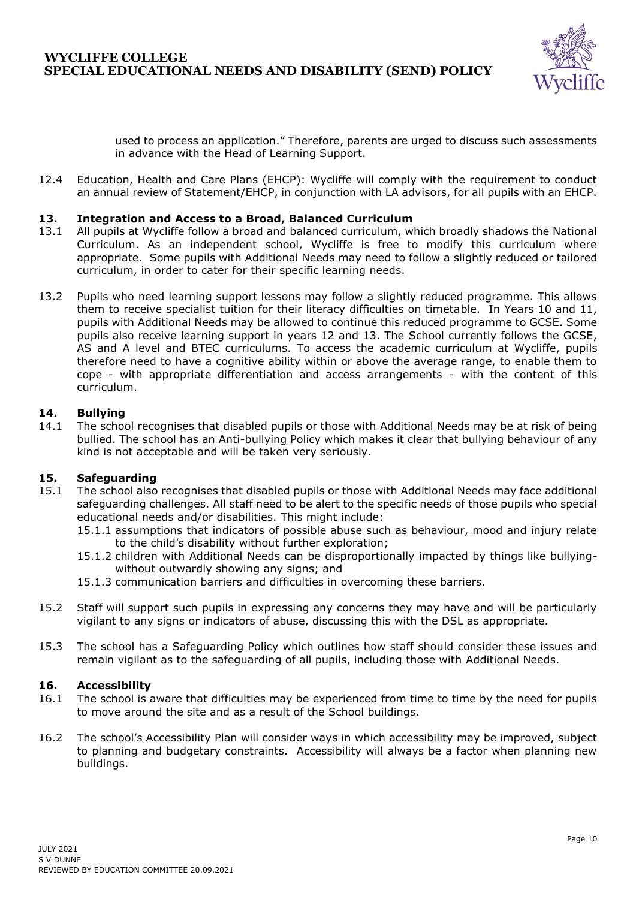

used to process an application." Therefore, parents are urged to discuss such assessments in advance with the Head of Learning Support.

12.4 Education, Health and Care Plans (EHCP): Wycliffe will comply with the requirement to conduct an annual review of Statement/EHCP, in conjunction with LA advisors, for all pupils with an EHCP.

### **13. Integration and Access to a Broad, Balanced Curriculum**

- 13.1 All pupils at Wycliffe follow a broad and balanced curriculum, which broadly shadows the National Curriculum. As an independent school, Wycliffe is free to modify this curriculum where appropriate. Some pupils with Additional Needs may need to follow a slightly reduced or tailored curriculum, in order to cater for their specific learning needs.
- 13.2 Pupils who need learning support lessons may follow a slightly reduced programme. This allows them to receive specialist tuition for their literacy difficulties on timetable. In Years 10 and 11, pupils with Additional Needs may be allowed to continue this reduced programme to GCSE. Some pupils also receive learning support in years 12 and 13. The School currently follows the GCSE, AS and A level and BTEC curriculums. To access the academic curriculum at Wycliffe, pupils therefore need to have a cognitive ability within or above the average range, to enable them to cope - with appropriate differentiation and access arrangements - with the content of this curriculum.

### **14. Bullying**

14.1 The school recognises that disabled pupils or those with Additional Needs may be at risk of being bullied. The school has an Anti-bullying Policy which makes it clear that bullying behaviour of any kind is not acceptable and will be taken very seriously.

### **15. Safeguarding**

- 15.1 The school also recognises that disabled pupils or those with Additional Needs may face additional safeguarding challenges. All staff need to be alert to the specific needs of those pupils who special educational needs and/or disabilities. This might include:
	- 15.1.1 assumptions that indicators of possible abuse such as behaviour, mood and injury relate to the child's disability without further exploration;
	- 15.1.2 children with Additional Needs can be disproportionally impacted by things like bullyingwithout outwardly showing any signs; and
	- 15.1.3 communication barriers and difficulties in overcoming these barriers.
- 15.2 Staff will support such pupils in expressing any concerns they may have and will be particularly vigilant to any signs or indicators of abuse, discussing this with the DSL as appropriate.
- 15.3 The school has a Safeguarding Policy which outlines how staff should consider these issues and remain vigilant as to the safeguarding of all pupils, including those with Additional Needs.

### **16. Accessibility**

- 16.1 The school is aware that difficulties may be experienced from time to time by the need for pupils to move around the site and as a result of the School buildings.
- 16.2 The school's Accessibility Plan will consider ways in which accessibility may be improved, subject to planning and budgetary constraints. Accessibility will always be a factor when planning new buildings.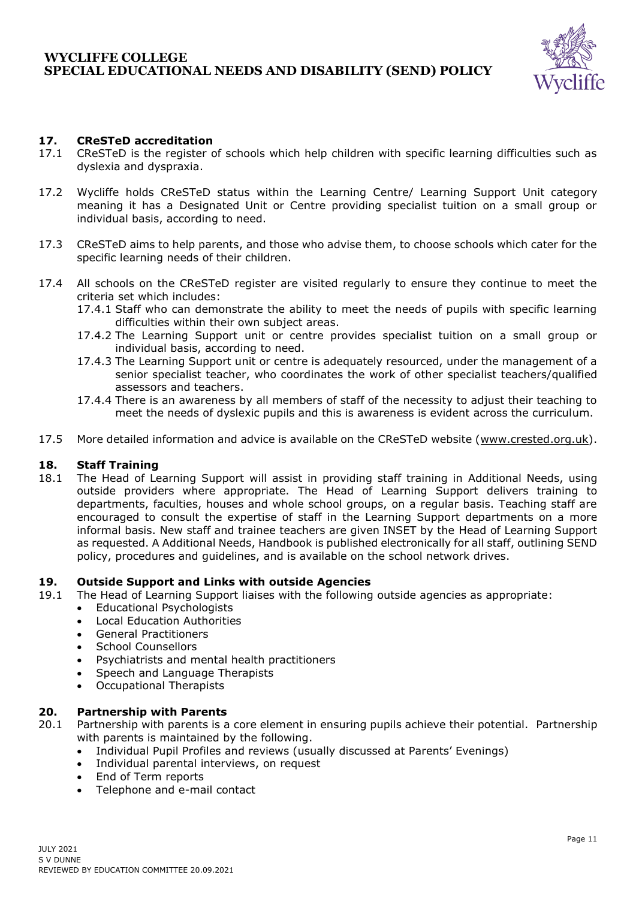## **WYCLIFFE COLLEGE SPECIAL EDUCATIONAL NEEDS AND DISABILITY (SEND) POLICY**



### **17. CReSTeD accreditation**

- 17.1 CReSTeD is the register of schools which help children with specific learning difficulties such as dyslexia and dyspraxia.
- 17.2 Wycliffe holds CReSTeD status within the Learning Centre/ Learning Support Unit category meaning it has a Designated Unit or Centre providing specialist tuition on a small group or individual basis, according to need.
- 17.3 CReSTeD aims to help parents, and those who advise them, to choose schools which cater for the specific learning needs of their children.
- 17.4 All schools on the CReSTeD register are visited regularly to ensure they continue to meet the criteria set which includes:
	- 17.4.1 Staff who can demonstrate the ability to meet the needs of pupils with specific learning difficulties within their own subject areas.
	- 17.4.2 The Learning Support unit or centre provides specialist tuition on a small group or individual basis, according to need.
	- 17.4.3 The Learning Support unit or centre is adequately resourced, under the management of a senior specialist teacher, who coordinates the work of other specialist teachers/qualified assessors and teachers.
	- 17.4.4 There is an awareness by all members of staff of the necessity to adjust their teaching to meet the needs of dyslexic pupils and this is awareness is evident across the curriculum.
- 17.5 More detailed information and advice is available on the CReSTeD website [\(www.crested.org.uk\)](http://www.crested.org.uk/).

### **18. Staff Training**

18.1 The Head of Learning Support will assist in providing staff training in Additional Needs, using outside providers where appropriate. The Head of Learning Support delivers training to departments, faculties, houses and whole school groups, on a regular basis. Teaching staff are encouraged to consult the expertise of staff in the Learning Support departments on a more informal basis. New staff and trainee teachers are given INSET by the Head of Learning Support as requested. A Additional Needs, Handbook is published electronically for all staff, outlining SEND policy, procedures and guidelines, and is available on the school network drives.

#### **19. Outside Support and Links with outside Agencies**

- 19.1 The Head of Learning Support liaises with the following outside agencies as appropriate:
	- Educational Psychologists
	- Local Education Authorities
	- General Practitioners
	- School Counsellors
	- Psychiatrists and mental health practitioners
	- Speech and Language Therapists
	- Occupational Therapists

#### **20. Partnership with Parents**

- 20.1 Partnership with parents is a core element in ensuring pupils achieve their potential. Partnership with parents is maintained by the following.
	- Individual Pupil Profiles and reviews (usually discussed at Parents' Evenings)
	- Individual parental interviews, on request
	- End of Term reports
	- Telephone and e-mail contact